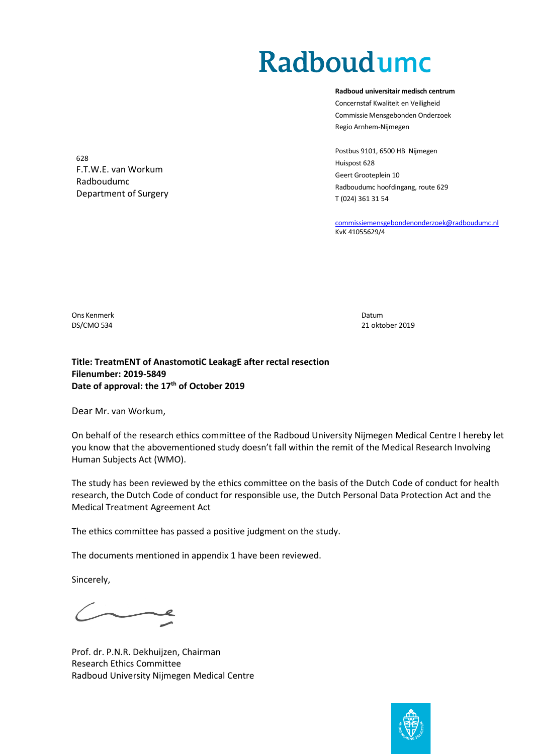## Radboudumc

**Radboud universitair medisch centrum** Concernstaf Kwaliteit en Veiligheid Commissie Mensgebonden Onderzoek Regio Arnhem-Nijmegen

Postbus 9101, 6500 HB Nijmegen Huispost 628 Geert Grooteplein 10 Radboudumc hoofdingang, route 629 T (024) 361 31 54

[commissiemensgebondenonderzoek@radboudumc.nl](mailto:commissiemensgebondenonderzoek@radboudumc.nl) KvK 41055629/4

Radboudumc Department of Surgery

F.T.W.E. van Workum

Ons Kenmerk Datum Datum Datum Datum Datum Datum Datum Datum Datum Datum Datum Datum Datum Datum Datum Datum Datum

628

DS/CMO 534 21 oktober 2019

## **Title: TreatmENT of AnastomotiC LeakagE after rectal resection Filenumber: 2019-5849 Date of approval: the 17th of October 2019**

Dear Mr. van Workum,

On behalf of the research ethics committee of the Radboud University Nijmegen Medical Centre I hereby let you know that the abovementioned study doesn't fall within the remit of the Medical Research Involving Human Subjects Act (WMO).

The study has been reviewed by the ethics committee on the basis of the Dutch Code of conduct for health research, the Dutch Code of conduct for responsible use, the Dutch Personal Data Protection Act and the Medical Treatment Agreement Act

The ethics committee has passed a positive judgment on the study.

The documents mentioned in appendix 1 have been reviewed.

Sincerely,

Prof. dr. P.N.R. Dekhuijzen, Chairman Research Ethics Committee Radboud University Nijmegen Medical Centre